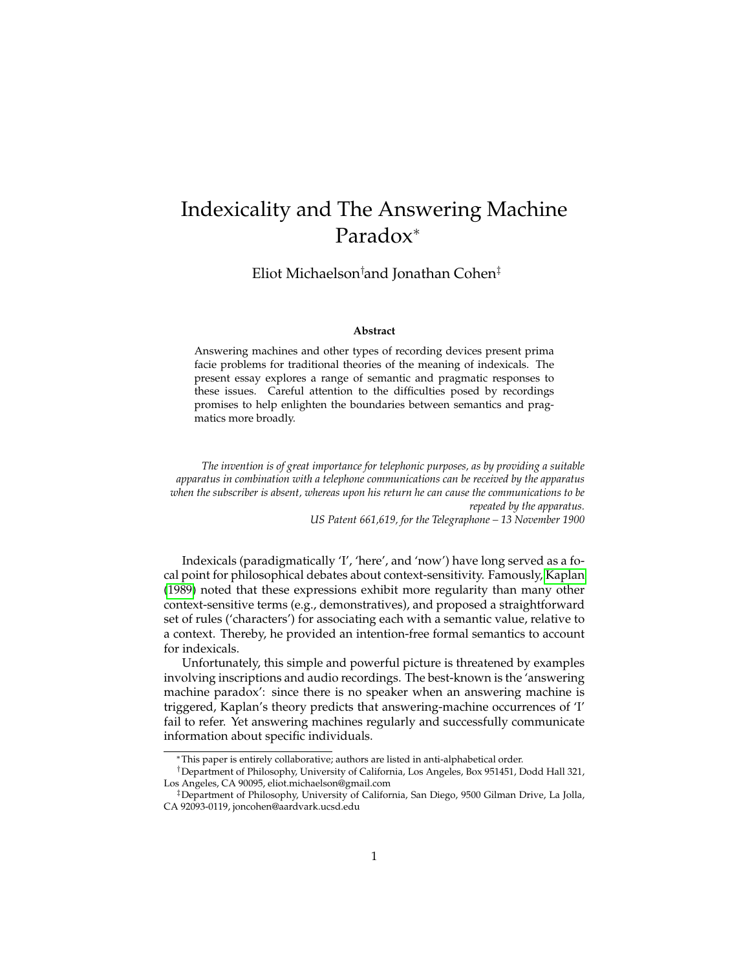# Indexicality and The Answering Machine Paradox<sup>∗</sup>

Eliot Michaelson†and Jonathan Cohen‡

#### **Abstract**

Answering machines and other types of recording devices present prima facie problems for traditional theories of the meaning of indexicals. The present essay explores a range of semantic and pragmatic responses to these issues. Careful attention to the difficulties posed by recordings promises to help enlighten the boundaries between semantics and pragmatics more broadly.

*The invention is of great importance for telephonic purposes, as by providing a suitable apparatus in combination with a telephone communications can be received by the apparatus when the subscriber is absent, whereas upon his return he can cause the communications to be repeated by the apparatus. US Patent 661,619, for the Telegraphone – 13 November 1900*

Indexicals (paradigmatically 'I', 'here', and 'now') have long served as a focal point for philosophical debates about context-sensitivity. Famously, [Kaplan](#page-15-0) [\(1989\)](#page-15-0) noted that these expressions exhibit more regularity than many other context-sensitive terms (e.g., demonstratives), and proposed a straightforward set of rules ('characters') for associating each with a semantic value, relative to a context. Thereby, he provided an intention-free formal semantics to account for indexicals.

Unfortunately, this simple and powerful picture is threatened by examples involving inscriptions and audio recordings. The best-known is the 'answering machine paradox': since there is no speaker when an answering machine is triggered, Kaplan's theory predicts that answering-machine occurrences of 'I' fail to refer. Yet answering machines regularly and successfully communicate information about specific individuals.

<sup>∗</sup>This paper is entirely collaborative; authors are listed in anti-alphabetical order.

<sup>†</sup>Department of Philosophy, University of California, Los Angeles, Box 951451, Dodd Hall 321, Los Angeles, CA 90095, eliot.michaelson@gmail.com

<sup>‡</sup>Department of Philosophy, University of California, San Diego, 9500 Gilman Drive, La Jolla, CA 92093-0119, joncohen@aardvark.ucsd.edu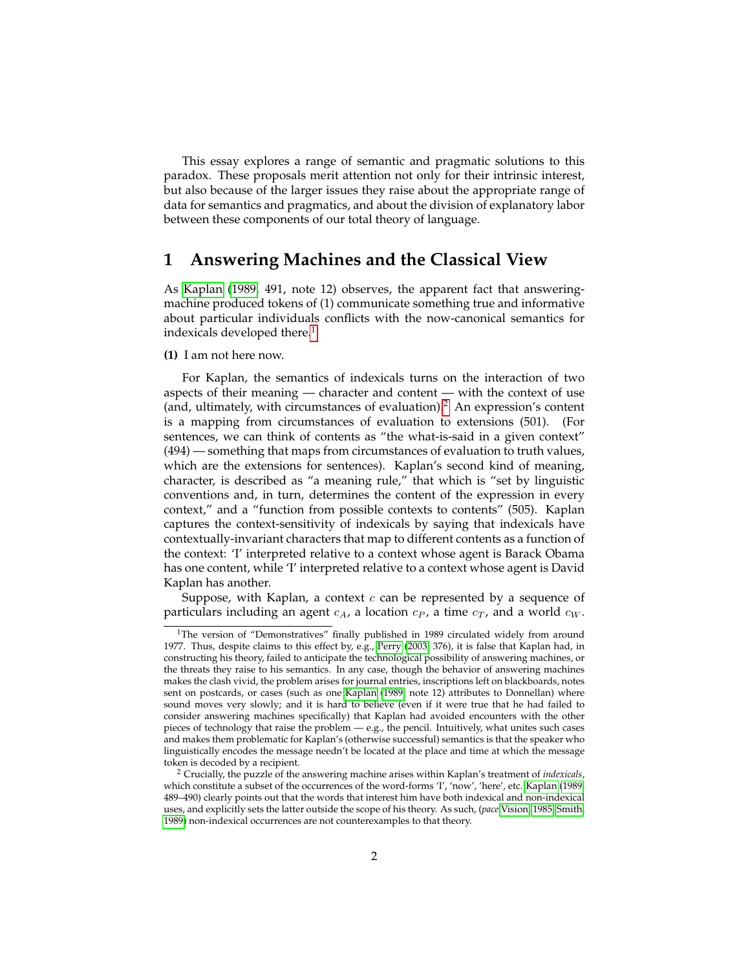This essay explores a range of semantic and pragmatic solutions to this paradox. These proposals merit attention not only for their intrinsic interest, but also because of the larger issues they raise about the appropriate range of data for semantics and pragmatics, and about the division of explanatory labor between these components of our total theory of language.

# **1 Answering Machines and the Classical View**

As [Kaplan](#page-15-0) [\(1989,](#page-15-0) 491, note 12) observes, the apparent fact that answeringmachine produced tokens of (1) communicate something true and informative about particular individuals conflicts with the now-canonical semantics for indexicals developed there.<sup>[1](#page-1-0)</sup>

#### **(1)** I am not here now.

For Kaplan, the semantics of indexicals turns on the interaction of two aspects of their meaning — character and content — with the context of use (and, ultimately, with circumstances of evaluation).[2](#page-1-1) An expression's content is a mapping from circumstances of evaluation to extensions (501). (For sentences, we can think of contents as "the what-is-said in a given context" (494) — something that maps from circumstances of evaluation to truth values, which are the extensions for sentences). Kaplan's second kind of meaning, character, is described as "a meaning rule," that which is "set by linguistic conventions and, in turn, determines the content of the expression in every context," and a "function from possible contexts to contents" (505). Kaplan captures the context-sensitivity of indexicals by saying that indexicals have contextually-invariant characters that map to different contents as a function of the context: 'I' interpreted relative to a context whose agent is Barack Obama has one content, while 'I' interpreted relative to a context whose agent is David Kaplan has another.

Suppose, with Kaplan, a context  $c$  can be represented by a sequence of particulars including an agent  $c_A$ , a location  $c_P$ , a time  $c_T$ , and a world  $c_W$ .

<span id="page-1-0"></span><sup>&</sup>lt;sup>1</sup>The version of "Demonstratives" finally published in 1989 circulated widely from around 1977. Thus, despite claims to this effect by, e.g., [Perry](#page-16-0) [\(2003,](#page-16-0) 376), it is false that Kaplan had, in constructing his theory, failed to anticipate the technological possibility of answering machines, or the threats they raise to his semantics. In any case, though the behavior of answering machines makes the clash vivid, the problem arises for journal entries, inscriptions left on blackboards, notes sent on postcards, or cases (such as one [Kaplan](#page-15-0) [\(1989,](#page-15-0) note 12) attributes to Donnellan) where sound moves very slowly; and it is hard to believe (even if it were true that he had failed to consider answering machines specifically) that Kaplan had avoided encounters with the other pieces of technology that raise the problem — e.g., the pencil. Intuitively, what unites such cases and makes them problematic for Kaplan's (otherwise successful) semantics is that the speaker who linguistically encodes the message needn't be located at the place and time at which the message token is decoded by a recipient.

<span id="page-1-1"></span><sup>2</sup> Crucially, the puzzle of the answering machine arises within Kaplan's treatment of *indexicals*, which constitute a subset of the occurrences of the word-forms 'I', 'now', 'here', etc. [Kaplan](#page-15-0) [\(1989,](#page-15-0) 489–490) clearly points out that the words that interest him have both indexical and non-indexical uses, and explicitly sets the latter outside the scope of his theory. As such, (*pace* [Vision, 1985;](#page-17-0) [Smith,](#page-17-1) [1989\)](#page-17-1) non-indexical occurrences are not counterexamples to that theory.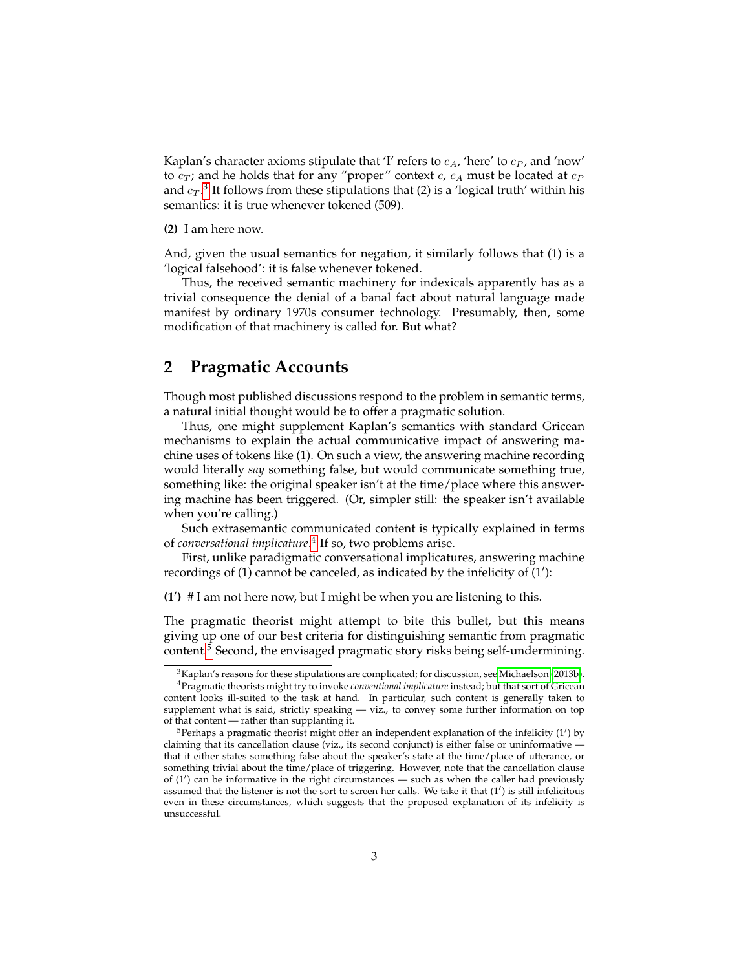Kaplan's character axioms stipulate that 'I' refers to  $c_A$ , 'here' to  $c_P$ , and 'now' to  $c_T$ ; and he holds that for any "proper" context  $c$ ,  $c_A$  must be located at  $c_P$ and  $c_T. ^3$  $c_T. ^3$  It follows from these stipulations that (2) is a 'logical truth' within his semantics: it is true whenever tokened (509).

**(2)** I am here now.

And, given the usual semantics for negation, it similarly follows that (1) is a 'logical falsehood': it is false whenever tokened.

Thus, the received semantic machinery for indexicals apparently has as a trivial consequence the denial of a banal fact about natural language made manifest by ordinary 1970s consumer technology. Presumably, then, some modification of that machinery is called for. But what?

### **2 Pragmatic Accounts**

Though most published discussions respond to the problem in semantic terms, a natural initial thought would be to offer a pragmatic solution.

Thus, one might supplement Kaplan's semantics with standard Gricean mechanisms to explain the actual communicative impact of answering machine uses of tokens like (1). On such a view, the answering machine recording would literally *say* something false, but would communicate something true, something like: the original speaker isn't at the time/place where this answering machine has been triggered. (Or, simpler still: the speaker isn't available when you're calling.)

Such extrasemantic communicated content is typically explained in terms of *conversational implicature*. [4](#page-2-1) If so, two problems arise.

First, unlike paradigmatic conversational implicatures, answering machine recordings of  $(1)$  cannot be canceled, as indicated by the infelicity of  $(1')$ :

**(1**0 **)** # I am not here now, but I might be when you are listening to this.

The pragmatic theorist might attempt to bite this bullet, but this means giving up one of our best criteria for distinguishing semantic from pragmatic content.[5](#page-2-2) Second, the envisaged pragmatic story risks being self-undermining.

<span id="page-2-1"></span><span id="page-2-0"></span> $3$ Kaplan's reasons for these stipulations are complicated; for discussion, see [Michaelson](#page-16-1) [\(2013b\)](#page-16-1). <sup>4</sup>Pragmatic theorists might try to invoke *conventional implicature* instead; but that sort of Gricean content looks ill-suited to the task at hand. In particular, such content is generally taken to supplement what is said, strictly speaking — viz., to convey some further information on top of that content — rather than supplanting it.

<span id="page-2-2"></span> $5$ Perhaps a pragmatic theorist might offer an independent explanation of the infelicity (1') by claiming that its cancellation clause (viz., its second conjunct) is either false or uninformative that it either states something false about the speaker's state at the time/place of utterance, or something trivial about the time/place of triggering. However, note that the cancellation clause of  $(1')$  can be informative in the right circumstances — such as when the caller had previously assumed that the listener is not the sort to screen her calls. We take it that (1') is still infelicitous even in these circumstances, which suggests that the proposed explanation of its infelicity is unsuccessful.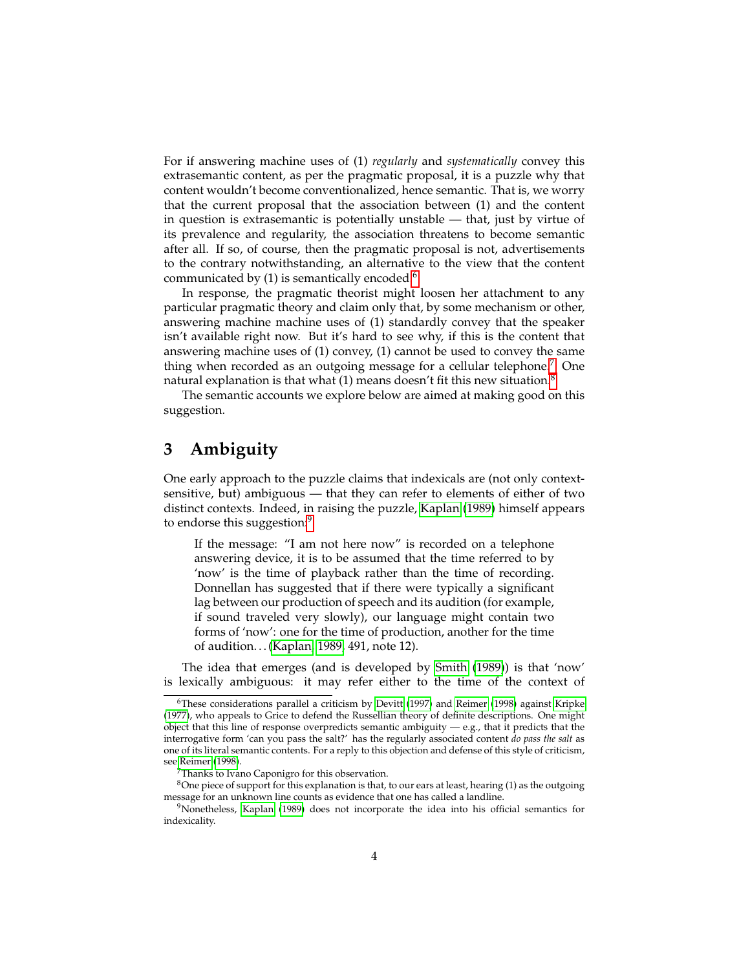For if answering machine uses of (1) *regularly* and *systematically* convey this extrasemantic content, as per the pragmatic proposal, it is a puzzle why that content wouldn't become conventionalized, hence semantic. That is, we worry that the current proposal that the association between (1) and the content in question is extrasemantic is potentially unstable — that, just by virtue of its prevalence and regularity, the association threatens to become semantic after all. If so, of course, then the pragmatic proposal is not, advertisements to the contrary notwithstanding, an alternative to the view that the content communicated by  $(1)$  is semantically encoded.<sup>[6](#page-3-0)</sup>

In response, the pragmatic theorist might loosen her attachment to any particular pragmatic theory and claim only that, by some mechanism or other, answering machine machine uses of (1) standardly convey that the speaker isn't available right now. But it's hard to see why, if this is the content that answering machine uses of (1) convey, (1) cannot be used to convey the same thing when recorded as an outgoing message for a cellular telephone.<sup>[7](#page-3-1)</sup> One natural explanation is that what  $(1)$  means doesn't fit this new situation.<sup>[8](#page-3-2)</sup>

The semantic accounts we explore below are aimed at making good on this suggestion.

# **3 Ambiguity**

One early approach to the puzzle claims that indexicals are (not only contextsensitive, but) ambiguous — that they can refer to elements of either of two distinct contexts. Indeed, in raising the puzzle, [Kaplan](#page-15-0) [\(1989\)](#page-15-0) himself appears to endorse this suggestion:<sup>[9](#page-3-3)</sup>

If the message: "I am not here now" is recorded on a telephone answering device, it is to be assumed that the time referred to by 'now' is the time of playback rather than the time of recording. Donnellan has suggested that if there were typically a significant lag between our production of speech and its audition (for example, if sound traveled very slowly), our language might contain two forms of 'now': one for the time of production, another for the time of audition. . . [\(Kaplan, 1989,](#page-15-0) 491, note 12).

The idea that emerges (and is developed by [Smith](#page-17-1) [\(1989\)](#page-17-1)) is that 'now' is lexically ambiguous: it may refer either to the time of the context of

<span id="page-3-0"></span><sup>&</sup>lt;sup>6</sup>These considerations parallel a criticism by [Devitt](#page-15-1) [\(1997\)](#page-15-1) and [Reimer](#page-16-2) [\(1998\)](#page-16-2) against [Kripke](#page-15-2) [\(1977\)](#page-15-2), who appeals to Grice to defend the Russellian theory of definite descriptions. One might object that this line of response overpredicts semantic ambiguity  $-$  e.g., that it predicts that the interrogative form 'can you pass the salt?' has the regularly associated content *do pass the salt* as one of its literal semantic contents. For a reply to this objection and defense of this style of criticism, see [Reimer](#page-16-2) [\(1998\)](#page-16-2).

<span id="page-3-2"></span><span id="page-3-1"></span><sup>7</sup>Thanks to Ivano Caponigro for this observation.

 $8$ One piece of support for this explanation is that, to our ears at least, hearing (1) as the outgoing message for an unknown line counts as evidence that one has called a landline.

<span id="page-3-3"></span> $9$ Nonetheless, [Kaplan](#page-15-0) [\(1989\)](#page-15-0) does not incorporate the idea into his official semantics for indexicality.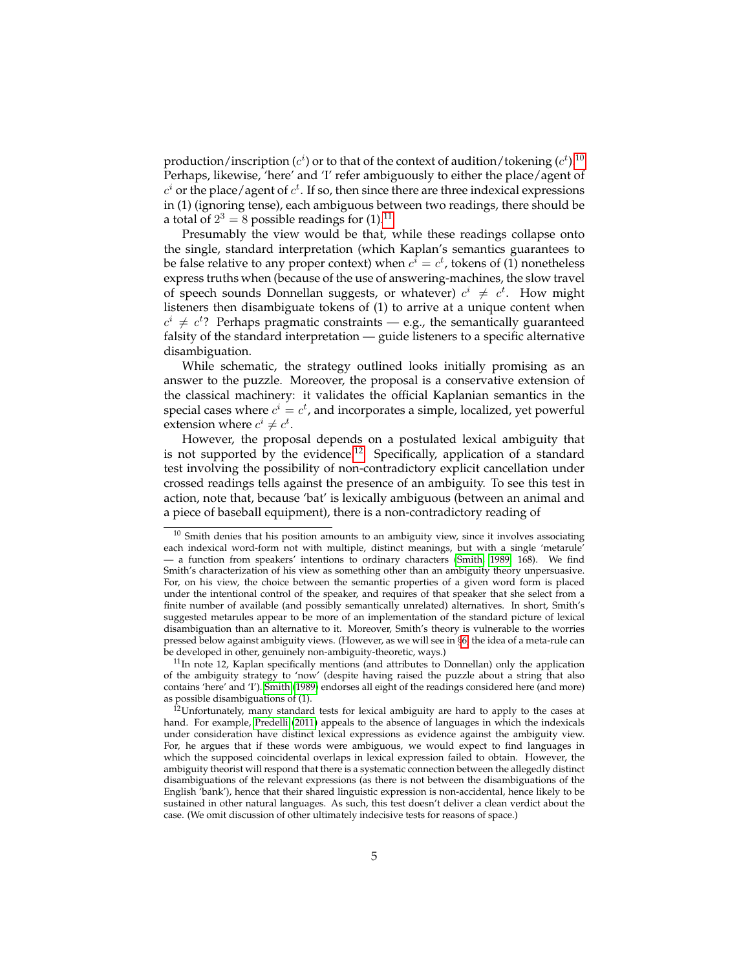production/inscription ( $c^i$ ) or to that of the context of audition/tokening ( $c^t$ ).<sup>[10](#page-4-0)</sup> Perhaps, likewise, 'here' and 'I' refer ambiguously to either the place/agent of  $c<sup>i</sup>$  or the place/agent of  $c<sup>t</sup>$ . If so, then since there are three indexical expressions in (1) (ignoring tense), each ambiguous between two readings, there should be a total of  $2^3 = 8$  possible readings for (1).<sup>[11](#page-4-1)</sup>

Presumably the view would be that, while these readings collapse onto the single, standard interpretation (which Kaplan's semantics guarantees to be false relative to any proper context) when  $c^{\bar{i}} = c^t$ , tokens of (1) nonetheless express truths when (because of the use of answering-machines, the slow travel of speech sounds Donnellan suggests, or whatever)  $c^i \neq c^t$ . How might listeners then disambiguate tokens of (1) to arrive at a unique content when  $c^i \neq c^t$ ? Perhaps pragmatic constraints — e.g., the semantically guaranteed falsity of the standard interpretation — guide listeners to a specific alternative disambiguation.

While schematic, the strategy outlined looks initially promising as an answer to the puzzle. Moreover, the proposal is a conservative extension of the classical machinery: it validates the official Kaplanian semantics in the special cases where  $c^i = c^t$ , and incorporates a simple, localized, yet powerful extension where  $c^i \neq c^t$ .

However, the proposal depends on a postulated lexical ambiguity that is not supported by the evidence.<sup>[12](#page-4-2)</sup> Specifically, application of a standard test involving the possibility of non-contradictory explicit cancellation under crossed readings tells against the presence of an ambiguity. To see this test in action, note that, because 'bat' is lexically ambiguous (between an animal and a piece of baseball equipment), there is a non-contradictory reading of

<span id="page-4-0"></span> $10$  Smith denies that his position amounts to an ambiguity view, since it involves associating each indexical word-form not with multiple, distinct meanings, but with a single 'metarule' — a function from speakers' intentions to ordinary characters [\(Smith, 1989,](#page-17-1) 168). We find Smith's characterization of his view as something other than an ambiguity theory unpersuasive. For, on his view, the choice between the semantic properties of a given word form is placed under the intentional control of the speaker, and requires of that speaker that she select from a finite number of available (and possibly semantically unrelated) alternatives. In short, Smith's suggested metarules appear to be more of an implementation of the standard picture of lexical disambiguation than an alternative to it. Moreover, Smith's theory is vulnerable to the worries pressed below against ambiguity views. (However, as we will see in §[6,](#page-12-0) the idea of a meta-rule can be developed in other, genuinely non-ambiguity-theoretic, ways.)

<span id="page-4-1"></span><sup>&</sup>lt;sup>11</sup>In note 12, Kaplan specifically mentions (and attributes to Donnellan) only the application of the ambiguity strategy to 'now' (despite having raised the puzzle about a string that also contains 'here' and 'I'). [Smith](#page-17-1) [\(1989\)](#page-17-1) endorses all eight of the readings considered here (and more) as possible disambiguations of (1).

<span id="page-4-2"></span><sup>12</sup>Unfortunately, many standard tests for lexical ambiguity are hard to apply to the cases at hand. For example, [Predelli](#page-16-3) [\(2011\)](#page-16-3) appeals to the absence of languages in which the indexicals under consideration have distinct lexical expressions as evidence against the ambiguity view. For, he argues that if these words were ambiguous, we would expect to find languages in which the supposed coincidental overlaps in lexical expression failed to obtain. However, the ambiguity theorist will respond that there is a systematic connection between the allegedly distinct disambiguations of the relevant expressions (as there is not between the disambiguations of the English 'bank'), hence that their shared linguistic expression is non-accidental, hence likely to be sustained in other natural languages. As such, this test doesn't deliver a clean verdict about the case. (We omit discussion of other ultimately indecisive tests for reasons of space.)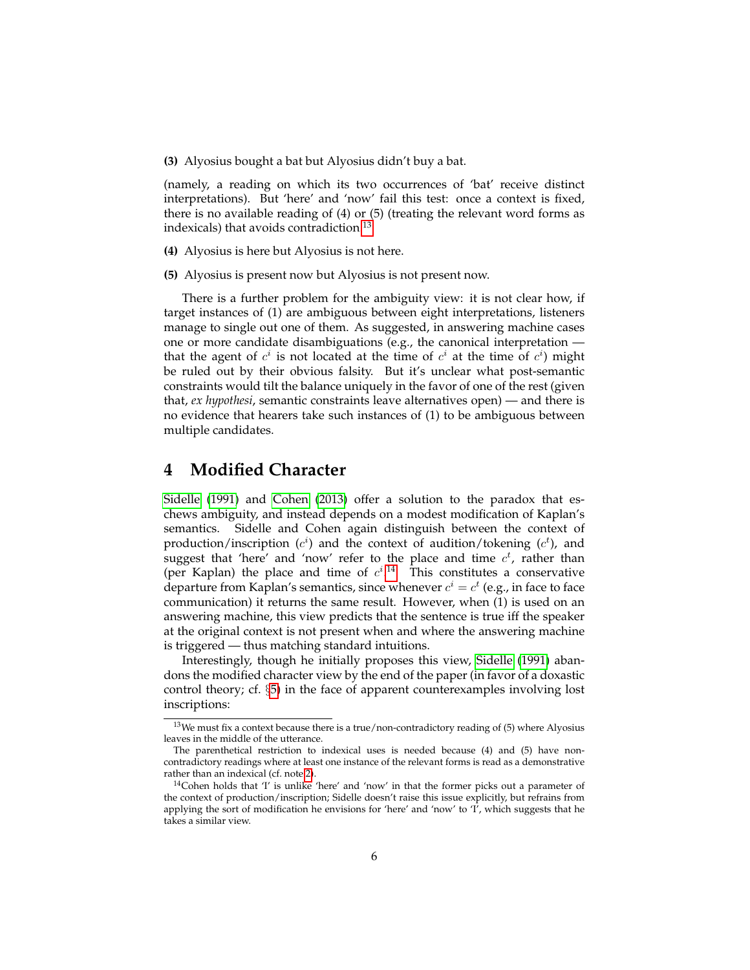**(3)** Alyosius bought a bat but Alyosius didn't buy a bat.

(namely, a reading on which its two occurrences of 'bat' receive distinct interpretations). But 'here' and 'now' fail this test: once a context is fixed, there is no available reading of (4) or (5) (treating the relevant word forms as indexicals) that avoids contradiction.<sup>[13](#page-5-0)</sup>

- **(4)** Alyosius is here but Alyosius is not here.
- **(5)** Alyosius is present now but Alyosius is not present now.

There is a further problem for the ambiguity view: it is not clear how, if target instances of (1) are ambiguous between eight interpretations, listeners manage to single out one of them. As suggested, in answering machine cases one or more candidate disambiguations (e.g., the canonical interpretation that the agent of  $c^i$  is not located at the time of  $c^i$  at the time of  $c^i$ ) might be ruled out by their obvious falsity. But it's unclear what post-semantic constraints would tilt the balance uniquely in the favor of one of the rest (given that, *ex hypothesi*, semantic constraints leave alternatives open) — and there is no evidence that hearers take such instances of (1) to be ambiguous between multiple candidates.

# **4 Modified Character**

[Sidelle](#page-16-4) [\(1991\)](#page-16-4) and [Cohen](#page-15-3) [\(2013\)](#page-15-3) offer a solution to the paradox that eschews ambiguity, and instead depends on a modest modification of Kaplan's semantics. Sidelle and Cohen again distinguish between the context of production/inscription  $(c<sup>i</sup>)$  and the context of audition/tokening  $(c<sup>t</sup>)$ , and suggest that 'here' and 'now' refer to the place and time  $c<sup>t</sup>$ , rather than (per Kaplan) the place and time of  $c^{i}$ .<sup>[14](#page-5-1)</sup> This constitutes a conservative departure from Kaplan's semantics, since whenever  $c^i = c^t$  (e.g., in face to face communication) it returns the same result. However, when (1) is used on an answering machine, this view predicts that the sentence is true iff the speaker at the original context is not present when and where the answering machine is triggered — thus matching standard intuitions.

Interestingly, though he initially proposes this view, [Sidelle](#page-16-4) [\(1991\)](#page-16-4) abandons the modified character view by the end of the paper (in favor of a doxastic control theory; cf. §[5\)](#page-6-0) in the face of apparent counterexamples involving lost inscriptions:

<span id="page-5-0"></span> $13$ We must fix a context because there is a true/non-contradictory reading of (5) where Alyosius leaves in the middle of the utterance.

The parenthetical restriction to indexical uses is needed because (4) and (5) have noncontradictory readings where at least one instance of the relevant forms is read as a demonstrative rather than an indexical (cf. note [2\)](#page-1-1).

<span id="page-5-1"></span><sup>&</sup>lt;sup>14</sup>Cohen holds that 'I' is unlike 'here' and 'now' in that the former picks out a parameter of the context of production/inscription; Sidelle doesn't raise this issue explicitly, but refrains from applying the sort of modification he envisions for 'here' and 'now' to 'I', which suggests that he takes a similar view.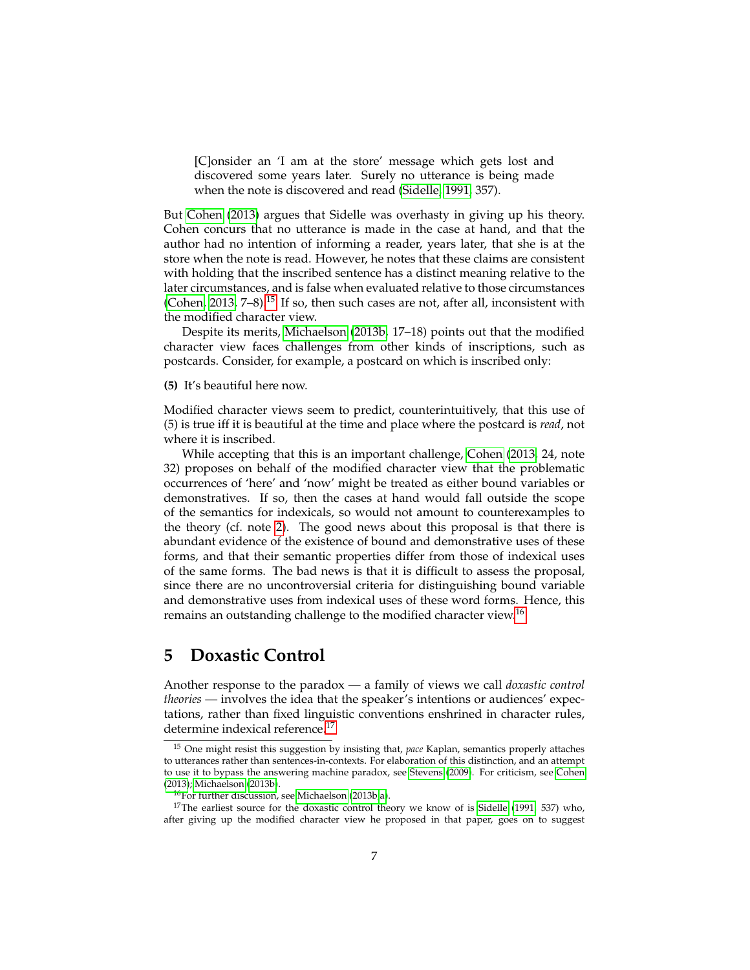[C]onsider an 'I am at the store' message which gets lost and discovered some years later. Surely no utterance is being made when the note is discovered and read [\(Sidelle, 1991,](#page-16-4) 357).

But [Cohen](#page-15-3) [\(2013\)](#page-15-3) argues that Sidelle was overhasty in giving up his theory. Cohen concurs that no utterance is made in the case at hand, and that the author had no intention of informing a reader, years later, that she is at the store when the note is read. However, he notes that these claims are consistent with holding that the inscribed sentence has a distinct meaning relative to the later circumstances, and is false when evaluated relative to those circumstances [\(Cohen, 2013,](#page-15-3) 7-8).<sup>[15](#page-6-1)</sup> If so, then such cases are not, after all, inconsistent with the modified character view.

Despite its merits, [Michaelson](#page-16-1) [\(2013b,](#page-16-1) 17–18) points out that the modified character view faces challenges from other kinds of inscriptions, such as postcards. Consider, for example, a postcard on which is inscribed only:

**(5)** It's beautiful here now.

Modified character views seem to predict, counterintuitively, that this use of (5) is true iff it is beautiful at the time and place where the postcard is *read*, not where it is inscribed.

While accepting that this is an important challenge, [Cohen](#page-15-3) [\(2013,](#page-15-3) 24, note 32) proposes on behalf of the modified character view that the problematic occurrences of 'here' and 'now' might be treated as either bound variables or demonstratives. If so, then the cases at hand would fall outside the scope of the semantics for indexicals, so would not amount to counterexamples to the theory (cf. note [2\)](#page-1-1). The good news about this proposal is that there is abundant evidence of the existence of bound and demonstrative uses of these forms, and that their semantic properties differ from those of indexical uses of the same forms. The bad news is that it is difficult to assess the proposal, since there are no uncontroversial criteria for distinguishing bound variable and demonstrative uses from indexical uses of these word forms. Hence, this remains an outstanding challenge to the modified character view.<sup>[16](#page-6-2)</sup>

# <span id="page-6-0"></span>**5 Doxastic Control**

Another response to the paradox — a family of views we call *doxastic control theories* — involves the idea that the speaker's intentions or audiences' expectations, rather than fixed linguistic conventions enshrined in character rules, determine indexical reference.[17](#page-6-3)

<span id="page-6-1"></span><sup>15</sup> One might resist this suggestion by insisting that, *pace* Kaplan, semantics properly attaches to utterances rather than sentences-in-contexts. For elaboration of this distinction, and an attempt to use it to bypass the answering machine paradox, see [Stevens](#page-17-2) [\(2009\)](#page-17-2). For criticism, see [Cohen](#page-15-3) [\(2013\)](#page-15-3); [Michaelson](#page-16-1) [\(2013b\)](#page-16-1).

<span id="page-6-3"></span><span id="page-6-2"></span><sup>16</sup>For further discussion, see [Michaelson](#page-16-1) [\(2013b](#page-16-1)[,a\)](#page-16-5).

<sup>&</sup>lt;sup>17</sup>The earliest source for the doxastic control theory we know of is [Sidelle](#page-16-4) [\(1991,](#page-16-4) 537) who, after giving up the modified character view he proposed in that paper, goes on to suggest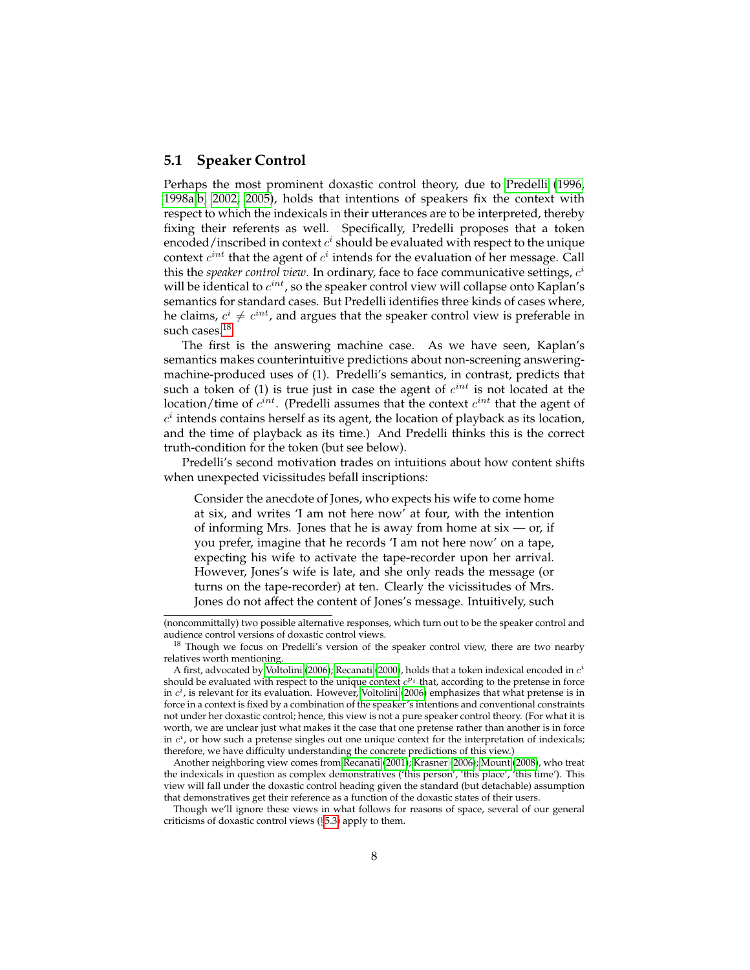#### <span id="page-7-1"></span>**5.1 Speaker Control**

Perhaps the most prominent doxastic control theory, due to [Predelli](#page-16-6) [\(1996,](#page-16-6) [1998a,](#page-16-7)[b,](#page-16-8) [2002,](#page-16-9) [2005\)](#page-16-10), holds that intentions of speakers fix the context with respect to which the indexicals in their utterances are to be interpreted, thereby fixing their referents as well. Specifically, Predelli proposes that a token encoded/inscribed in context  $c^i$  should be evaluated with respect to the unique context  $c^{int}$  that the agent of  $c^{i}$  intends for the evaluation of her message. Call this the *speaker control view*. In ordinary, face to face communicative settings,  $c^i$ will be identical to  $c^{int}$ , so the speaker control view will collapse onto Kaplan's semantics for standard cases. But Predelli identifies three kinds of cases where, he claims,  $c^i \neq c^{int}$ , and argues that the speaker control view is preferable in such cases.<sup>[18](#page-7-0)</sup>

The first is the answering machine case. As we have seen, Kaplan's semantics makes counterintuitive predictions about non-screening answeringmachine-produced uses of (1). Predelli's semantics, in contrast, predicts that such a token of (1) is true just in case the agent of  $c<sup>int</sup>$  is not located at the location/time of  $c^{int}$ . (Predelli assumes that the context  $c^{int}$  that the agent of  $c<sup>i</sup>$  intends contains herself as its agent, the location of playback as its location, and the time of playback as its time.) And Predelli thinks this is the correct truth-condition for the token (but see below).

Predelli's second motivation trades on intuitions about how content shifts when unexpected vicissitudes befall inscriptions:

Consider the anecdote of Jones, who expects his wife to come home at six, and writes 'I am not here now' at four, with the intention of informing Mrs. Jones that he is away from home at  $\sin$  - or, if you prefer, imagine that he records 'I am not here now' on a tape, expecting his wife to activate the tape-recorder upon her arrival. However, Jones's wife is late, and she only reads the message (or turns on the tape-recorder) at ten. Clearly the vicissitudes of Mrs. Jones do not affect the content of Jones's message. Intuitively, such

<sup>(</sup>noncommittally) two possible alternative responses, which turn out to be the speaker control and audience control versions of doxastic control views.

<span id="page-7-0"></span><sup>&</sup>lt;sup>18</sup> Though we focus on Predelli's version of the speaker control view, there are two nearby relatives worth mentioning.

A first, advocated by [Voltolini](#page-17-3) [\(2006\)](#page-17-3); [Recanati](#page-16-11) [\(2000\)](#page-16-11), holds that a token indexical encoded in  $c^i$ should be evaluated with respect to the unique context  $c^{p_i}$  that, according to the pretense in force in  $c<sup>i</sup>$ , is relevant for its evaluation. However, [Voltolini](#page-17-3) [\(2006\)](#page-17-3) emphasizes that what pretense is in force in a context is fixed by a combination of the speaker's intentions and conventional constraints not under her doxastic control; hence, this view is not a pure speaker control theory. (For what it is worth, we are unclear just what makes it the case that one pretense rather than another is in force in  $c<sup>i</sup>$ , or how such a pretense singles out one unique context for the interpretation of indexicals; therefore, we have difficulty understanding the concrete predictions of this view.)

Another neighboring view comes from [Recanati](#page-16-12) [\(2001\)](#page-16-12); [Krasner](#page-15-4) [\(2006\)](#page-15-4); [Mount](#page-16-13) [\(2008\)](#page-16-13), who treat the indexicals in question as complex demonstratives ('this person', 'this place', 'this time'). This view will fall under the doxastic control heading given the standard (but detachable) assumption that demonstratives get their reference as a function of the doxastic states of their users.

Though we'll ignore these views in what follows for reasons of space, several of our general criticisms of doxastic control views (§[5.3\)](#page-11-0) apply to them.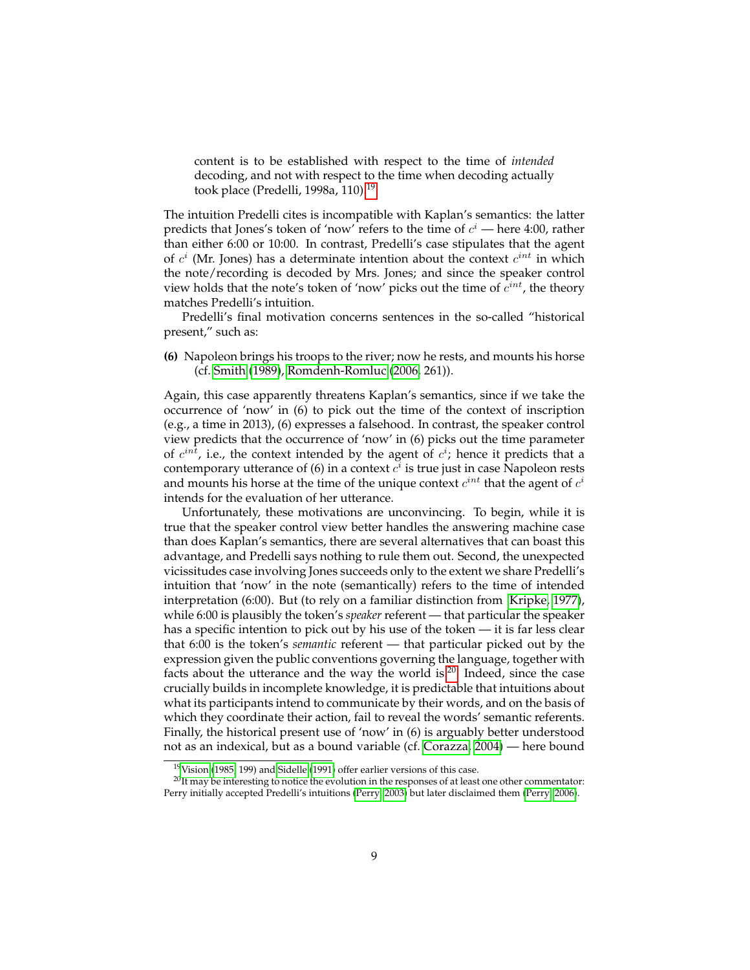content is to be established with respect to the time of *intended* decoding, and not with respect to the time when decoding actually took place (Predelli, [19](#page-8-0)98a, 110).<sup>19</sup>

The intuition Predelli cites is incompatible with Kaplan's semantics: the latter predicts that Jones's token of 'now' refers to the time of  $c^i$  — here 4:00, rather than either 6:00 or 10:00. In contrast, Predelli's case stipulates that the agent of  $c^i$  (Mr. Jones) has a determinate intention about the context  $c^{int}$  in which the note/recording is decoded by Mrs. Jones; and since the speaker control view holds that the note's token of 'now' picks out the time of  $\tilde{c}^{int}$ , the theory matches Predelli's intuition.

Predelli's final motivation concerns sentences in the so-called "historical present," such as:

**(6)** Napoleon brings his troops to the river; now he rests, and mounts his horse (cf. [Smith](#page-17-1) [\(1989\)](#page-17-1), [Romdenh-Romluc](#page-16-14) [\(2006,](#page-16-14) 261)).

Again, this case apparently threatens Kaplan's semantics, since if we take the occurrence of 'now' in (6) to pick out the time of the context of inscription (e.g., a time in 2013), (6) expresses a falsehood. In contrast, the speaker control view predicts that the occurrence of 'now' in (6) picks out the time parameter of  $c^{in\bar{t}}$ , i.e., the context intended by the agent of  $c^i$ ; hence it predicts that a contemporary utterance of (6) in a context  $c^i$  is true just in case Napoleon rests and mounts his horse at the time of the unique context  $c^{int}$  that the agent of  $c^{i}$ intends for the evaluation of her utterance.

Unfortunately, these motivations are unconvincing. To begin, while it is true that the speaker control view better handles the answering machine case than does Kaplan's semantics, there are several alternatives that can boast this advantage, and Predelli says nothing to rule them out. Second, the unexpected vicissitudes case involving Jones succeeds only to the extent we share Predelli's intuition that 'now' in the note (semantically) refers to the time of intended interpretation (6:00). But (to rely on a familiar distinction from [Kripke, 1977\)](#page-15-2), while 6:00 is plausibly the token's *speaker* referent — that particular the speaker has a specific intention to pick out by his use of the token — it is far less clear that 6:00 is the token's *semantic* referent — that particular picked out by the expression given the public conventions governing the language, together with facts about the utterance and the way the world is.[20](#page-8-1) Indeed, since the case crucially builds in incomplete knowledge, it is predictable that intuitions about what its participants intend to communicate by their words, and on the basis of which they coordinate their action, fail to reveal the words' semantic referents. Finally, the historical present use of 'now' in (6) is arguably better understood not as an indexical, but as a bound variable (cf. [Corazza, 2004\)](#page-15-5) — here bound

<span id="page-8-1"></span><span id="page-8-0"></span> $19$ [Vision](#page-17-0) [\(1985,](#page-17-0) 199) and [Sidelle](#page-16-4) [\(1991\)](#page-16-4) offer earlier versions of this case.

 $20$ It may be interesting to notice the evolution in the responses of at least one other commentator: Perry initially accepted Predelli's intuitions [\(Perry, 2003\)](#page-16-0) but later disclaimed them [\(Perry, 2006\)](#page-16-15).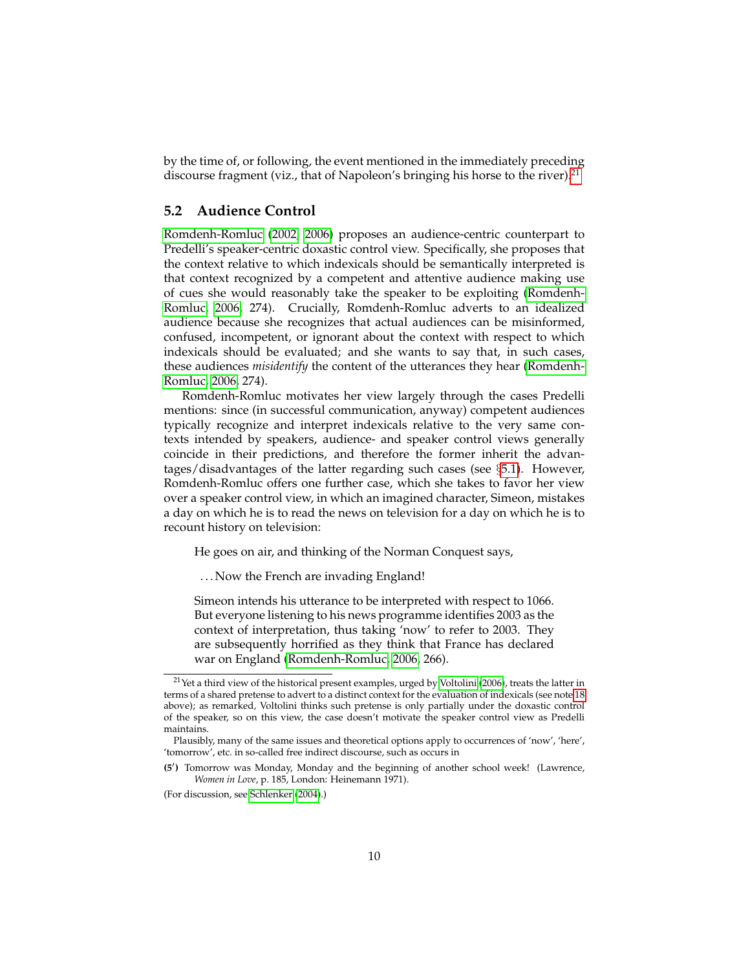by the time of, or following, the event mentioned in the immediately preceding discourse fragment (viz., that of Napoleon's bringing his horse to the river).<sup>[21](#page-9-0)</sup>

#### <span id="page-9-1"></span>**5.2 Audience Control**

[Romdenh-Romluc](#page-16-16) [\(2002,](#page-16-16) [2006\)](#page-16-14) proposes an audience-centric counterpart to Predelli's speaker-centric doxastic control view. Specifically, she proposes that the context relative to which indexicals should be semantically interpreted is that context recognized by a competent and attentive audience making use of cues she would reasonably take the speaker to be exploiting [\(Romdenh-](#page-16-14)[Romluc, 2006,](#page-16-14) 274). Crucially, Romdenh-Romluc adverts to an idealized audience because she recognizes that actual audiences can be misinformed, confused, incompetent, or ignorant about the context with respect to which indexicals should be evaluated; and she wants to say that, in such cases, these audiences *misidentify* the content of the utterances they hear [\(Romdenh-](#page-16-14)[Romluc, 2006,](#page-16-14) 274).

Romdenh-Romluc motivates her view largely through the cases Predelli mentions: since (in successful communication, anyway) competent audiences typically recognize and interpret indexicals relative to the very same contexts intended by speakers, audience- and speaker control views generally coincide in their predictions, and therefore the former inherit the advantages/disadvantages of the latter regarding such cases (see §[5.1\)](#page-7-1). However, Romdenh-Romluc offers one further case, which she takes to favor her view over a speaker control view, in which an imagined character, Simeon, mistakes a day on which he is to read the news on television for a day on which he is to recount history on television:

He goes on air, and thinking of the Norman Conquest says,

. . . Now the French are invading England!

Simeon intends his utterance to be interpreted with respect to 1066. But everyone listening to his news programme identifies 2003 as the context of interpretation, thus taking 'now' to refer to 2003. They are subsequently horrified as they think that France has declared war on England [\(Romdenh-Romluc, 2006,](#page-16-14) 266).

<span id="page-9-0"></span> $21$ Yet a third view of the historical present examples, urged by [Voltolini](#page-17-3) [\(2006\)](#page-17-3), treats the latter in terms of a shared pretense to advert to a distinct context for the evaluation of indexicals (see note [18](#page-7-0) above); as remarked, Voltolini thinks such pretense is only partially under the doxastic control of the speaker, so on this view, the case doesn't motivate the speaker control view as Predelli maintains.

Plausibly, many of the same issues and theoretical options apply to occurrences of 'now', 'here', 'tomorrow', etc. in so-called free indirect discourse, such as occurs in

<sup>(5&</sup>lt;sup>'</sup>) Tomorrow was Monday, Monday and the beginning of another school week! (Lawrence, *Women in Love*, p. 185, London: Heinemann 1971).

<sup>(</sup>For discussion, see [Schlenker](#page-16-17) [\(2004\)](#page-16-17).)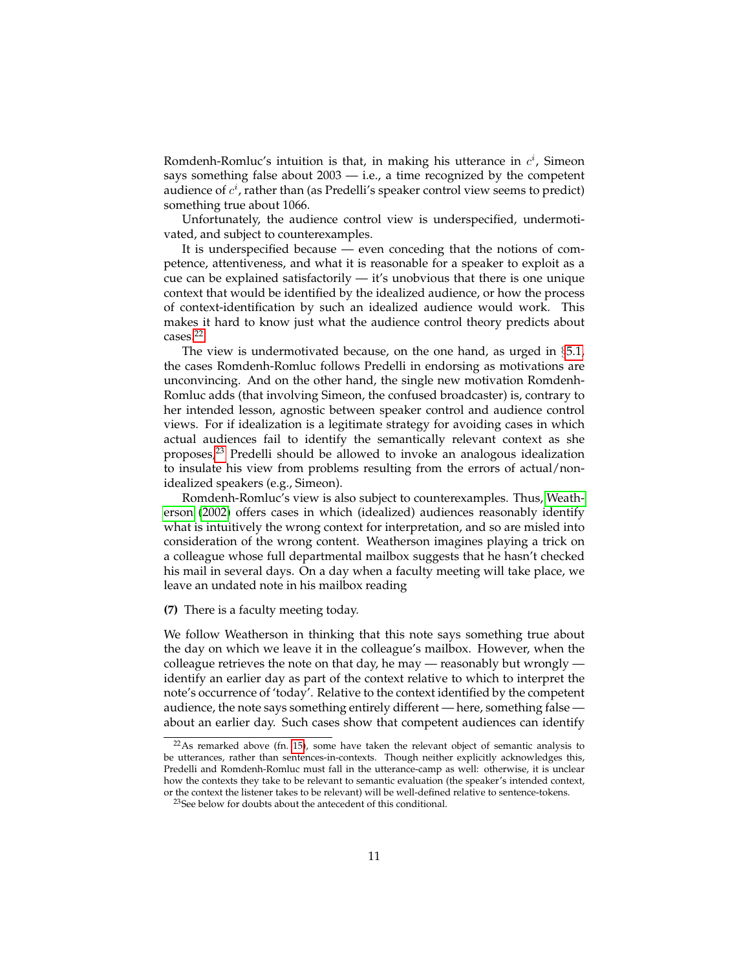Romdenh-Romluc's intuition is that, in making his utterance in  $c<sup>i</sup>$ , Simeon says something false about  $2003 - i.e.,$  a time recognized by the competent audience of  $c^i$ , rather than (as Predelli's speaker control view seems to predict) something true about 1066.

Unfortunately, the audience control view is underspecified, undermotivated, and subject to counterexamples.

It is underspecified because — even conceding that the notions of competence, attentiveness, and what it is reasonable for a speaker to exploit as a cue can be explained satisfactorily — it's unobvious that there is one unique context that would be identified by the idealized audience, or how the process of context-identification by such an idealized audience would work. This makes it hard to know just what the audience control theory predicts about cases.[22](#page-10-0)

The view is undermotivated because, on the one hand, as urged in  $\S5.1$ , the cases Romdenh-Romluc follows Predelli in endorsing as motivations are unconvincing. And on the other hand, the single new motivation Romdenh-Romluc adds (that involving Simeon, the confused broadcaster) is, contrary to her intended lesson, agnostic between speaker control and audience control views. For if idealization is a legitimate strategy for avoiding cases in which actual audiences fail to identify the semantically relevant context as she proposes, $23$  Predelli should be allowed to invoke an analogous idealization to insulate his view from problems resulting from the errors of actual/nonidealized speakers (e.g., Simeon).

Romdenh-Romluc's view is also subject to counterexamples. Thus, [Weath](#page-17-4)[erson](#page-17-4) [\(2002\)](#page-17-4) offers cases in which (idealized) audiences reasonably identify what is intuitively the wrong context for interpretation, and so are misled into consideration of the wrong content. Weatherson imagines playing a trick on a colleague whose full departmental mailbox suggests that he hasn't checked his mail in several days. On a day when a faculty meeting will take place, we leave an undated note in his mailbox reading

**(7)** There is a faculty meeting today.

We follow Weatherson in thinking that this note says something true about the day on which we leave it in the colleague's mailbox. However, when the colleague retrieves the note on that day, he may — reasonably but wrongly identify an earlier day as part of the context relative to which to interpret the note's occurrence of 'today'. Relative to the context identified by the competent audience, the note says something entirely different — here, something false about an earlier day. Such cases show that competent audiences can identify

<span id="page-10-0"></span><sup>22</sup>As remarked above (fn. [15\)](#page-6-1), some have taken the relevant object of semantic analysis to be utterances, rather than sentences-in-contexts. Though neither explicitly acknowledges this, Predelli and Romdenh-Romluc must fall in the utterance-camp as well: otherwise, it is unclear how the contexts they take to be relevant to semantic evaluation (the speaker's intended context, or the context the listener takes to be relevant) will be well-defined relative to sentence-tokens.

<span id="page-10-1"></span><sup>23</sup>See below for doubts about the antecedent of this conditional.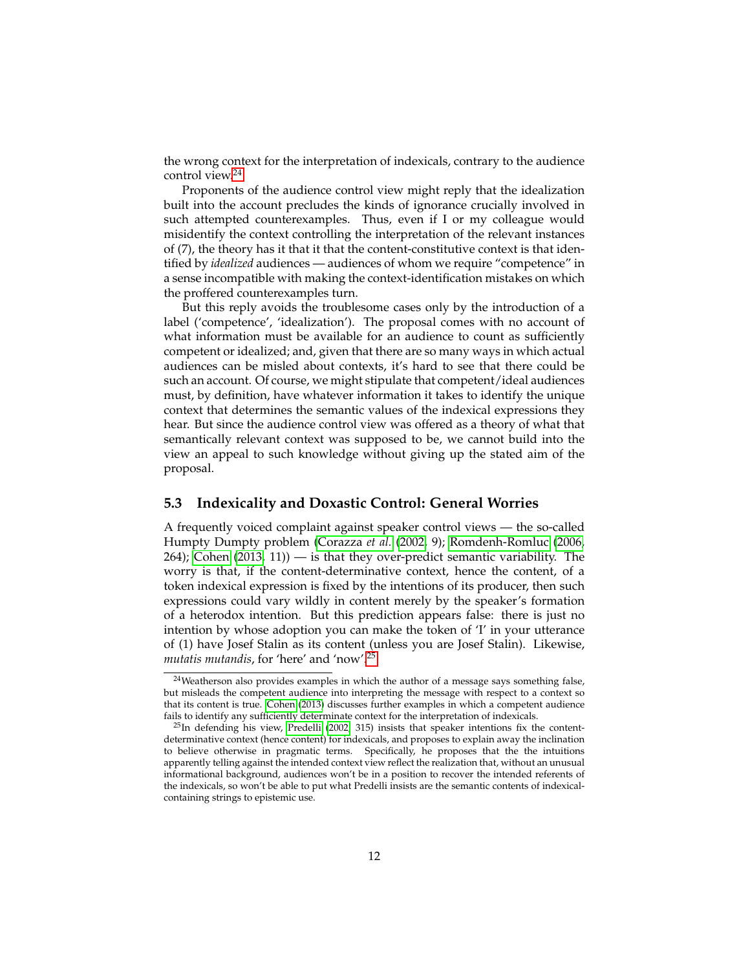the wrong context for the interpretation of indexicals, contrary to the audience control view.[24](#page-11-1)

Proponents of the audience control view might reply that the idealization built into the account precludes the kinds of ignorance crucially involved in such attempted counterexamples. Thus, even if I or my colleague would misidentify the context controlling the interpretation of the relevant instances of (7), the theory has it that it that the content-constitutive context is that identified by *idealized* audiences — audiences of whom we require "competence" in a sense incompatible with making the context-identification mistakes on which the proffered counterexamples turn.

But this reply avoids the troublesome cases only by the introduction of a label ('competence', 'idealization'). The proposal comes with no account of what information must be available for an audience to count as sufficiently competent or idealized; and, given that there are so many ways in which actual audiences can be misled about contexts, it's hard to see that there could be such an account. Of course, we might stipulate that competent/ideal audiences must, by definition, have whatever information it takes to identify the unique context that determines the semantic values of the indexical expressions they hear. But since the audience control view was offered as a theory of what that semantically relevant context was supposed to be, we cannot build into the view an appeal to such knowledge without giving up the stated aim of the proposal.

#### <span id="page-11-0"></span>**5.3 Indexicality and Doxastic Control: General Worries**

A frequently voiced complaint against speaker control views — the so-called Humpty Dumpty problem [\(Corazza](#page-15-6) *et al.* [\(2002,](#page-15-6) 9); [Romdenh-Romluc](#page-16-14) [\(2006,](#page-16-14)  $264$ ; [Cohen](#page-15-3) [\(2013,](#page-15-3) 11)) — is that they over-predict semantic variability. The worry is that, if the content-determinative context, hence the content, of a token indexical expression is fixed by the intentions of its producer, then such expressions could vary wildly in content merely by the speaker's formation of a heterodox intention. But this prediction appears false: there is just no intention by whose adoption you can make the token of 'I' in your utterance of (1) have Josef Stalin as its content (unless you are Josef Stalin). Likewise, *mutatis mutandis*, for 'here' and 'now'.[25](#page-11-2)

<span id="page-11-1"></span><sup>&</sup>lt;sup>24</sup>Weatherson also provides examples in which the author of a message says something false, but misleads the competent audience into interpreting the message with respect to a context so that its content is true. [Cohen](#page-15-3) [\(2013\)](#page-15-3) discusses further examples in which a competent audience fails to identify any sufficiently determinate context for the interpretation of indexicals.

<span id="page-11-2"></span> $^{25}$ In defending his view, [Predelli](#page-16-9) [\(2002,](#page-16-9) 315) insists that speaker intentions fix the contentdeterminative context (hence content) for indexicals, and proposes to explain away the inclination to believe otherwise in pragmatic terms. Specifically, he proposes that the the intuitions apparently telling against the intended context view reflect the realization that, without an unusual informational background, audiences won't be in a position to recover the intended referents of the indexicals, so won't be able to put what Predelli insists are the semantic contents of indexicalcontaining strings to epistemic use.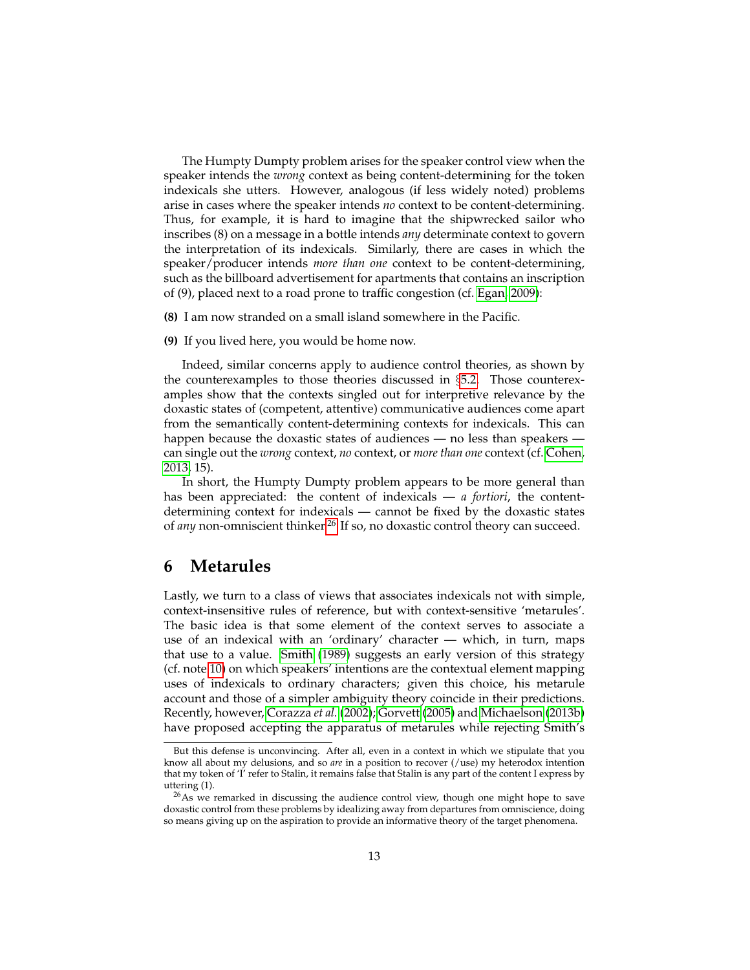The Humpty Dumpty problem arises for the speaker control view when the speaker intends the *wrong* context as being content-determining for the token indexicals she utters. However, analogous (if less widely noted) problems arise in cases where the speaker intends *no* context to be content-determining. Thus, for example, it is hard to imagine that the shipwrecked sailor who inscribes (8) on a message in a bottle intends *any* determinate context to govern the interpretation of its indexicals. Similarly, there are cases in which the speaker/producer intends *more than one* context to be content-determining, such as the billboard advertisement for apartments that contains an inscription of (9), placed next to a road prone to traffic congestion (cf. [Egan, 2009\)](#page-15-7):

**(8)** I am now stranded on a small island somewhere in the Pacific.

**(9)** If you lived here, you would be home now.

Indeed, similar concerns apply to audience control theories, as shown by the counterexamples to those theories discussed in §[5.2.](#page-9-1) Those counterexamples show that the contexts singled out for interpretive relevance by the doxastic states of (competent, attentive) communicative audiences come apart from the semantically content-determining contexts for indexicals. This can happen because the doxastic states of audiences — no less than speakers can single out the *wrong* context, *no* context, or *more than one* context (cf. [Cohen,](#page-15-3) [2013,](#page-15-3) 15).

In short, the Humpty Dumpty problem appears to be more general than has been appreciated: the content of indexicals — *a fortiori*, the contentdetermining context for indexicals — cannot be fixed by the doxastic states of *any* non-omniscient thinker.<sup>[26](#page-12-1)</sup> If so, no doxastic control theory can succeed.

### <span id="page-12-0"></span>**6 Metarules**

Lastly, we turn to a class of views that associates indexicals not with simple, context-insensitive rules of reference, but with context-sensitive 'metarules'. The basic idea is that some element of the context serves to associate a use of an indexical with an 'ordinary' character — which, in turn, maps that use to a value. [Smith](#page-17-1) [\(1989\)](#page-17-1) suggests an early version of this strategy (cf. note [10\)](#page-4-0) on which speakers' intentions are the contextual element mapping uses of indexicals to ordinary characters; given this choice, his metarule account and those of a simpler ambiguity theory coincide in their predictions. Recently, however, [Corazza](#page-15-6) *et al.* [\(2002\)](#page-15-6); [Gorvett](#page-15-8) [\(2005\)](#page-15-8) and [Michaelson](#page-16-1) [\(2013b\)](#page-16-1) have proposed accepting the apparatus of metarules while rejecting Smith's

But this defense is unconvincing. After all, even in a context in which we stipulate that you know all about my delusions, and so *are* in a position to recover (/use) my heterodox intention that my token of 'I' refer to Stalin, it remains false that Stalin is any part of the content I express by uttering (1).

<span id="page-12-1"></span> $^{26}$ As we remarked in discussing the audience control view, though one might hope to save doxastic control from these problems by idealizing away from departures from omniscience, doing so means giving up on the aspiration to provide an informative theory of the target phenomena.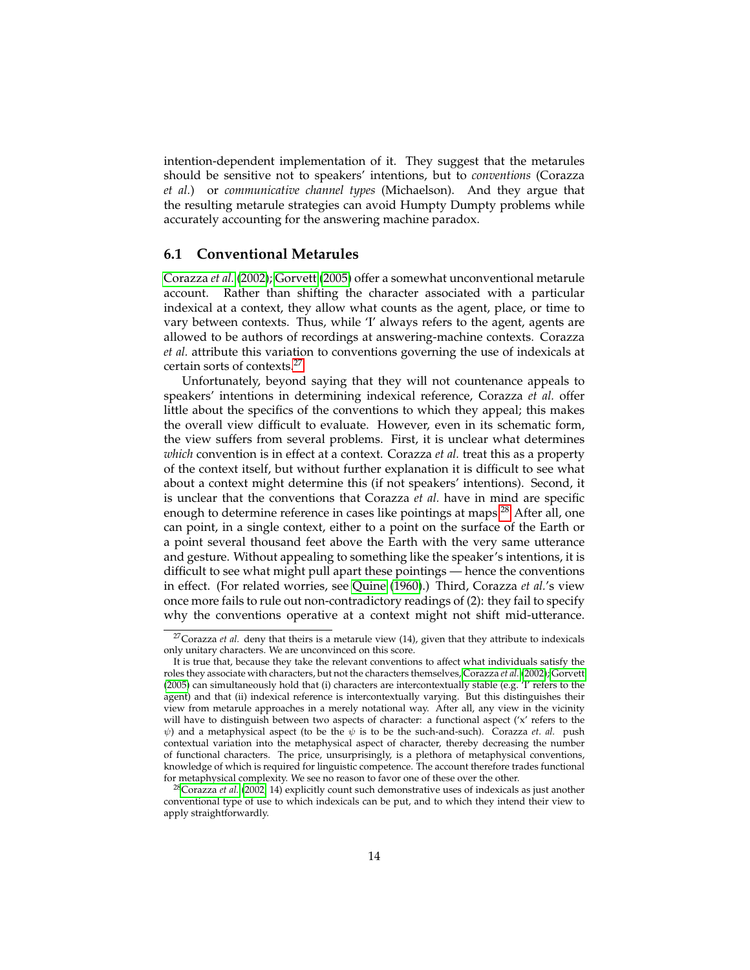intention-dependent implementation of it. They suggest that the metarules should be sensitive not to speakers' intentions, but to *conventions* (Corazza *et al.*) or *communicative channel types* (Michaelson). And they argue that the resulting metarule strategies can avoid Humpty Dumpty problems while accurately accounting for the answering machine paradox.

#### **6.1 Conventional Metarules**

[Corazza](#page-15-6) *et al.* [\(2002\)](#page-15-6); [Gorvett](#page-15-8) [\(2005\)](#page-15-8) offer a somewhat unconventional metarule account. Rather than shifting the character associated with a particular indexical at a context, they allow what counts as the agent, place, or time to vary between contexts. Thus, while 'I' always refers to the agent, agents are allowed to be authors of recordings at answering-machine contexts. Corazza *et al.* attribute this variation to conventions governing the use of indexicals at certain sorts of contexts.[27](#page-13-0)

Unfortunately, beyond saying that they will not countenance appeals to speakers' intentions in determining indexical reference, Corazza *et al.* offer little about the specifics of the conventions to which they appeal; this makes the overall view difficult to evaluate. However, even in its schematic form, the view suffers from several problems. First, it is unclear what determines *which* convention is in effect at a context. Corazza *et al.* treat this as a property of the context itself, but without further explanation it is difficult to see what about a context might determine this (if not speakers' intentions). Second, it is unclear that the conventions that Corazza *et al.* have in mind are specific enough to determine reference in cases like pointings at maps.<sup>[28](#page-13-1)</sup> After all, one can point, in a single context, either to a point on the surface of the Earth or a point several thousand feet above the Earth with the very same utterance and gesture. Without appealing to something like the speaker's intentions, it is difficult to see what might pull apart these pointings — hence the conventions in effect. (For related worries, see [Quine](#page-16-18) [\(1960\)](#page-16-18).) Third, Corazza *et al.*'s view once more fails to rule out non-contradictory readings of (2): they fail to specify why the conventions operative at a context might not shift mid-utterance.

<span id="page-13-0"></span><sup>&</sup>lt;sup>27</sup>Corazza *et al.* deny that theirs is a metarule view (14), given that they attribute to indexicals only unitary characters. We are unconvinced on this score.

It is true that, because they take the relevant conventions to affect what individuals satisfy the roles they associate with characters, but not the characters themselves, [Corazza](#page-15-6) *et al.* [\(2002\)](#page-15-6); [Gorvett](#page-15-8) [\(2005\)](#page-15-8) can simultaneously hold that (i) characters are intercontextually stable (e.g. 'I' refers to the agent) and that (ii) indexical reference is intercontextually varying. But this distinguishes their view from metarule approaches in a merely notational way. After all, any view in the vicinity will have to distinguish between two aspects of character: a functional aspect ('x' refers to the  $\psi$ ) and a metaphysical aspect (to be the  $\psi$  is to be the such-and-such). Corazza *et. al.* push contextual variation into the metaphysical aspect of character, thereby decreasing the number of functional characters. The price, unsurprisingly, is a plethora of metaphysical conventions, knowledge of which is required for linguistic competence. The account therefore trades functional for metaphysical complexity. We see no reason to favor one of these over the other.

<span id="page-13-1"></span><sup>28</sup>[Corazza](#page-15-6) *et al.* [\(2002,](#page-15-6) 14) explicitly count such demonstrative uses of indexicals as just another conventional type of use to which indexicals can be put, and to which they intend their view to apply straightforwardly.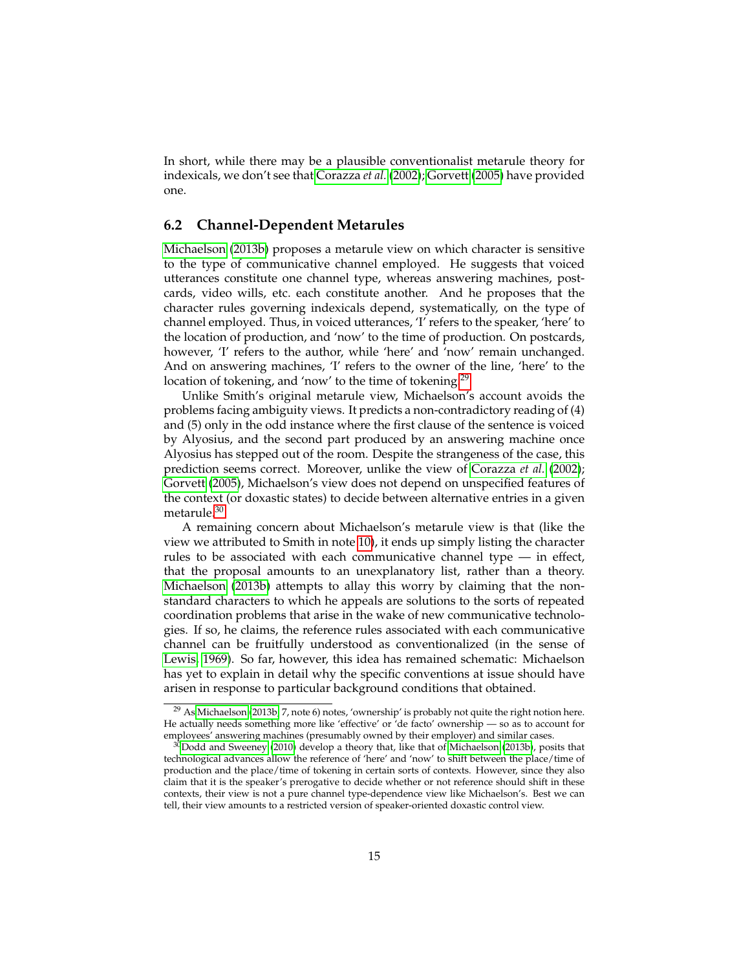In short, while there may be a plausible conventionalist metarule theory for indexicals, we don't see that [Corazza](#page-15-6) *et al.* [\(2002\)](#page-15-6); [Gorvett](#page-15-8) [\(2005\)](#page-15-8) have provided one.

#### **6.2 Channel-Dependent Metarules**

[Michaelson](#page-16-1) [\(2013b\)](#page-16-1) proposes a metarule view on which character is sensitive to the type of communicative channel employed. He suggests that voiced utterances constitute one channel type, whereas answering machines, postcards, video wills, etc. each constitute another. And he proposes that the character rules governing indexicals depend, systematically, on the type of channel employed. Thus, in voiced utterances, 'I' refers to the speaker, 'here' to the location of production, and 'now' to the time of production. On postcards, however, 'I' refers to the author, while 'here' and 'now' remain unchanged. And on answering machines, 'I' refers to the owner of the line, 'here' to the location of tokening, and 'now' to the time of tokening.<sup>[29](#page-14-0)</sup>

Unlike Smith's original metarule view, Michaelson's account avoids the problems facing ambiguity views. It predicts a non-contradictory reading of (4) and (5) only in the odd instance where the first clause of the sentence is voiced by Alyosius, and the second part produced by an answering machine once Alyosius has stepped out of the room. Despite the strangeness of the case, this prediction seems correct. Moreover, unlike the view of [Corazza](#page-15-6) *et al.* [\(2002\)](#page-15-6); [Gorvett](#page-15-8) [\(2005\)](#page-15-8), Michaelson's view does not depend on unspecified features of the context (or doxastic states) to decide between alternative entries in a given metarule.[30](#page-14-1)

A remaining concern about Michaelson's metarule view is that (like the view we attributed to Smith in note [10\)](#page-4-0), it ends up simply listing the character rules to be associated with each communicative channel type — in effect, that the proposal amounts to an unexplanatory list, rather than a theory. [Michaelson](#page-16-1) [\(2013b\)](#page-16-1) attempts to allay this worry by claiming that the nonstandard characters to which he appeals are solutions to the sorts of repeated coordination problems that arise in the wake of new communicative technologies. If so, he claims, the reference rules associated with each communicative channel can be fruitfully understood as conventionalized (in the sense of [Lewis, 1969\)](#page-15-9). So far, however, this idea has remained schematic: Michaelson has yet to explain in detail why the specific conventions at issue should have arisen in response to particular background conditions that obtained.

<span id="page-14-0"></span> $29$  As [Michaelson](#page-16-1) [\(2013b,](#page-16-1) 7, note 6) notes, 'ownership' is probably not quite the right notion here. He actually needs something more like 'effective' or 'de facto' ownership — so as to account for employees' answering machines (presumably owned by their employer) and similar cases.

<span id="page-14-1"></span> $30$ [Dodd and Sweeney](#page-15-10) [\(2010\)](#page-15-10) develop a theory that, like that of [Michaelson](#page-16-1) [\(2013b\)](#page-16-1), posits that technological advances allow the reference of 'here' and 'now' to shift between the place/time of production and the place/time of tokening in certain sorts of contexts. However, since they also claim that it is the speaker's prerogative to decide whether or not reference should shift in these contexts, their view is not a pure channel type-dependence view like Michaelson's. Best we can tell, their view amounts to a restricted version of speaker-oriented doxastic control view.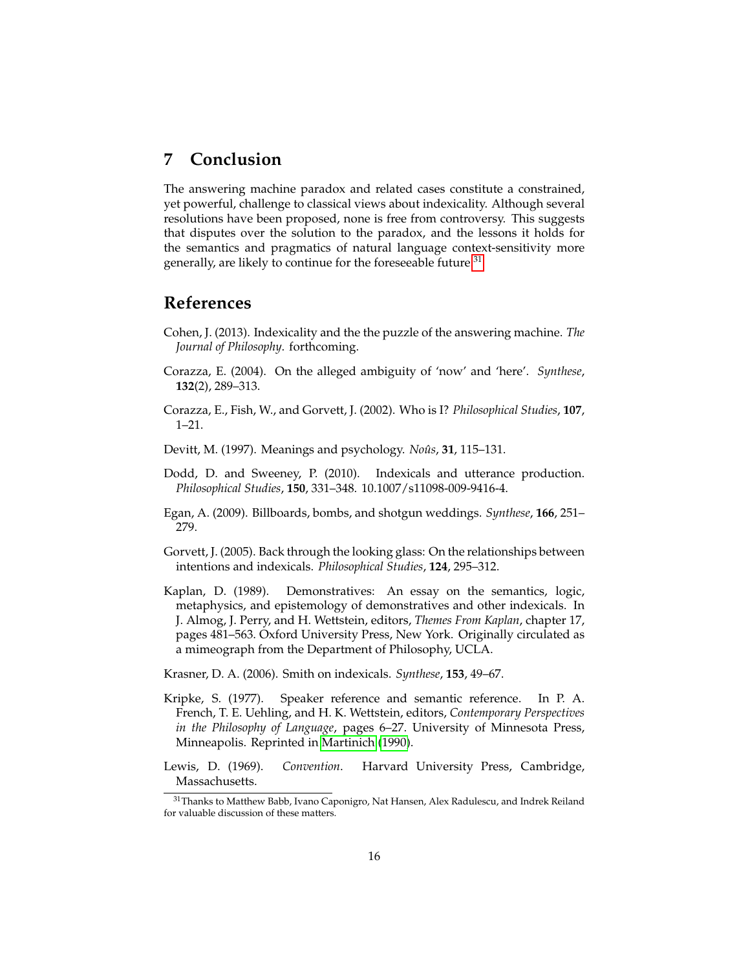# **7 Conclusion**

The answering machine paradox and related cases constitute a constrained, yet powerful, challenge to classical views about indexicality. Although several resolutions have been proposed, none is free from controversy. This suggests that disputes over the solution to the paradox, and the lessons it holds for the semantics and pragmatics of natural language context-sensitivity more generally, are likely to continue for the foreseeable future.<sup>[31](#page-15-11)</sup>

### **References**

- <span id="page-15-3"></span>Cohen, J. (2013). Indexicality and the the puzzle of the answering machine. *The Journal of Philosophy*. forthcoming.
- <span id="page-15-5"></span>Corazza, E. (2004). On the alleged ambiguity of 'now' and 'here'. *Synthese*, **132**(2), 289–313.
- <span id="page-15-6"></span>Corazza, E., Fish, W., and Gorvett, J. (2002). Who is I? *Philosophical Studies*, **107**, 1–21.
- <span id="page-15-1"></span>Devitt, M. (1997). Meanings and psychology. *Noûs*, 31, 115–131.
- <span id="page-15-10"></span>Dodd, D. and Sweeney, P. (2010). Indexicals and utterance production. *Philosophical Studies*, **150**, 331–348. 10.1007/s11098-009-9416-4.
- <span id="page-15-7"></span>Egan, A. (2009). Billboards, bombs, and shotgun weddings. *Synthese*, **166**, 251– 279.
- <span id="page-15-8"></span>Gorvett, J. (2005). Back through the looking glass: On the relationships between intentions and indexicals. *Philosophical Studies*, **124**, 295–312.
- <span id="page-15-0"></span>Kaplan, D. (1989). Demonstratives: An essay on the semantics, logic, metaphysics, and epistemology of demonstratives and other indexicals. In J. Almog, J. Perry, and H. Wettstein, editors, *Themes From Kaplan*, chapter 17, pages 481–563. Oxford University Press, New York. Originally circulated as a mimeograph from the Department of Philosophy, UCLA.
- <span id="page-15-4"></span>Krasner, D. A. (2006). Smith on indexicals. *Synthese*, **153**, 49–67.
- <span id="page-15-2"></span>Kripke, S. (1977). Speaker reference and semantic reference. In P. A. French, T. E. Uehling, and H. K. Wettstein, editors, *Contemporary Perspectives in the Philosophy of Language*, pages 6–27. University of Minnesota Press, Minneapolis. Reprinted in [Martinich](#page-16-19) [\(1990\)](#page-16-19).
- <span id="page-15-9"></span>Lewis, D. (1969). *Convention*. Harvard University Press, Cambridge, Massachusetts.

<span id="page-15-11"></span><sup>&</sup>lt;sup>31</sup>Thanks to Matthew Babb, Ivano Caponigro, Nat Hansen, Alex Radulescu, and Indrek Reiland for valuable discussion of these matters.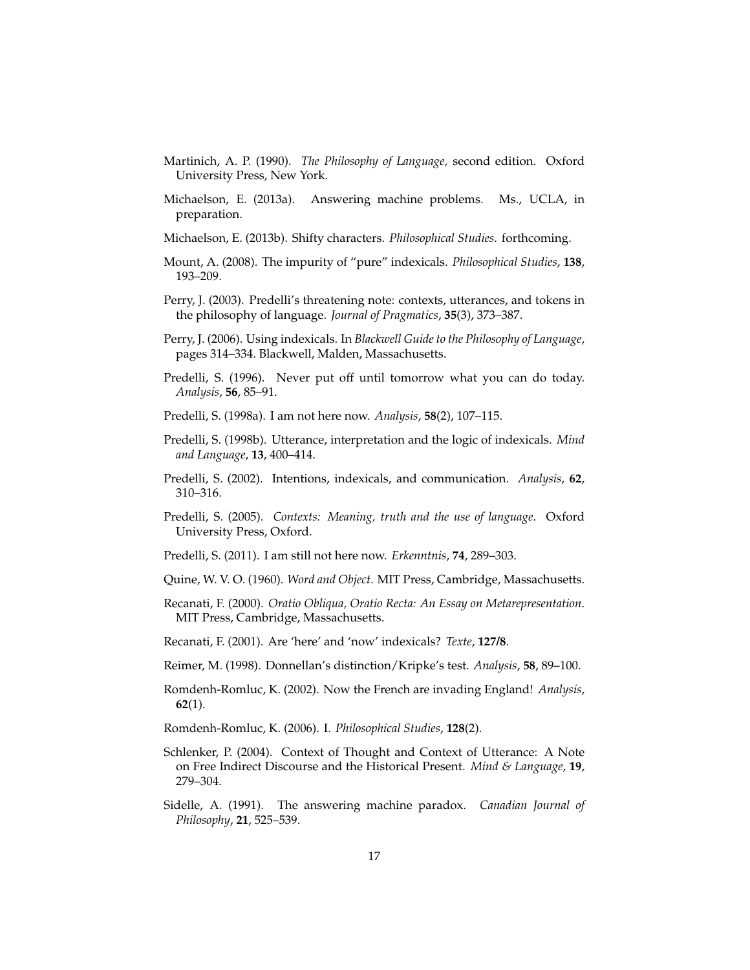- <span id="page-16-19"></span>Martinich, A. P. (1990). *The Philosophy of Language,* second edition. Oxford University Press, New York.
- <span id="page-16-5"></span>Michaelson, E. (2013a). Answering machine problems. Ms., UCLA, in preparation.
- <span id="page-16-1"></span>Michaelson, E. (2013b). Shifty characters. *Philosophical Studies*. forthcoming.
- <span id="page-16-13"></span>Mount, A. (2008). The impurity of "pure" indexicals. *Philosophical Studies*, **138**, 193–209.
- <span id="page-16-0"></span>Perry, J. (2003). Predelli's threatening note: contexts, utterances, and tokens in the philosophy of language. *Journal of Pragmatics*, **35**(3), 373–387.
- <span id="page-16-15"></span>Perry, J. (2006). Using indexicals. In *Blackwell Guide to the Philosophy of Language*, pages 314–334. Blackwell, Malden, Massachusetts.
- <span id="page-16-6"></span>Predelli, S. (1996). Never put off until tomorrow what you can do today. *Analysis*, **56**, 85–91.
- <span id="page-16-7"></span>Predelli, S. (1998a). I am not here now. *Analysis*, **58**(2), 107–115.
- <span id="page-16-8"></span>Predelli, S. (1998b). Utterance, interpretation and the logic of indexicals. *Mind and Language*, **13**, 400–414.
- <span id="page-16-9"></span>Predelli, S. (2002). Intentions, indexicals, and communication. *Analysis*, **62**, 310–316.
- <span id="page-16-10"></span>Predelli, S. (2005). *Contexts: Meaning, truth and the use of language*. Oxford University Press, Oxford.
- <span id="page-16-3"></span>Predelli, S. (2011). I am still not here now. *Erkenntnis*, **74**, 289–303.
- <span id="page-16-18"></span>Quine, W. V. O. (1960). *Word and Object*. MIT Press, Cambridge, Massachusetts.
- <span id="page-16-11"></span>Recanati, F. (2000). *Oratio Obliqua, Oratio Recta: An Essay on Metarepresentation*. MIT Press, Cambridge, Massachusetts.
- <span id="page-16-12"></span>Recanati, F. (2001). Are 'here' and 'now' indexicals? *Texte*, **127/8**.
- <span id="page-16-2"></span>Reimer, M. (1998). Donnellan's distinction/Kripke's test. *Analysis*, **58**, 89–100.
- <span id="page-16-16"></span>Romdenh-Romluc, K. (2002). Now the French are invading England! *Analysis*, **62**(1).
- <span id="page-16-14"></span>Romdenh-Romluc, K. (2006). I. *Philosophical Studies*, **128**(2).
- <span id="page-16-17"></span>Schlenker, P. (2004). Context of Thought and Context of Utterance: A Note on Free Indirect Discourse and the Historical Present. *Mind & Language*, **19**, 279–304.
- <span id="page-16-4"></span>Sidelle, A. (1991). The answering machine paradox. *Canadian Journal of Philosophy*, **21**, 525–539.